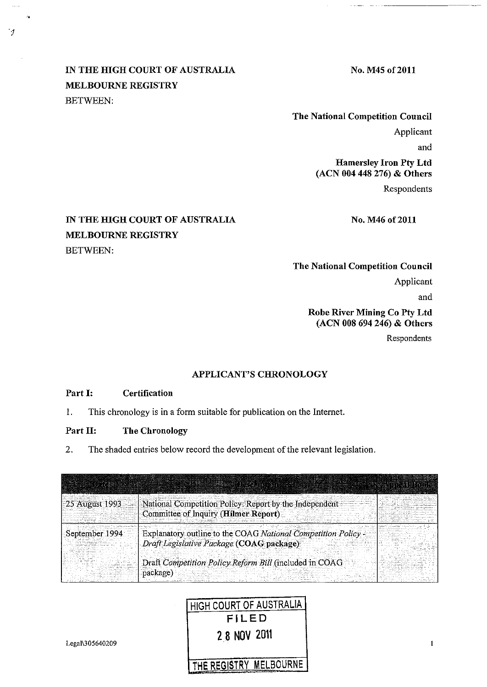## IN THE HIGH COURT OF AUSTRALIA MELBOURNE REGISTRY BETWEEN:

 $\frac{1}{2}$ 

 $\mathcal{I}$ 

No. M45 of 2011

No. M46 of 2011

The National Competition Council Applicant and Hamersley Iron Pty Ltd (ACN 004 448 276) & Others

Respondents

## IN THE HIGH COURT OF AUSTRALIA MELBOURNE REGISTRY BETWEEN:

## The National Competition Council Applicant

and

 $\mathbf{1}$ 

Robe River Mining Co Pty Ltd (ACN 008 694 246) & Others

Respondents

#### APPLICANT'S CHRONOLOGY

#### Part I: Certification

I. This chronology is in a form suitable for publication on the Internet.

#### Part II: The Chronology

2. The shaded entries below record the development of the relevant legislation.

| 25 August 1993 | National Competition Policy: Report by the Independent                                                    |
|----------------|-----------------------------------------------------------------------------------------------------------|
|                | Committee of Inquiry (Hilmer Report)                                                                      |
| September 1994 | Explanatory outline to the COAG National Competition Policy -<br>Draft Legislative Package (COAG package) |
|                |                                                                                                           |
|                | Draft Competition Policy Reform Bill (included in COAG<br>package)                                        |

# HIGH COURT OF AUSTRALIA FILED 28 NOV 2011

Legal\305640209

THE REGISTRY MELBOURNE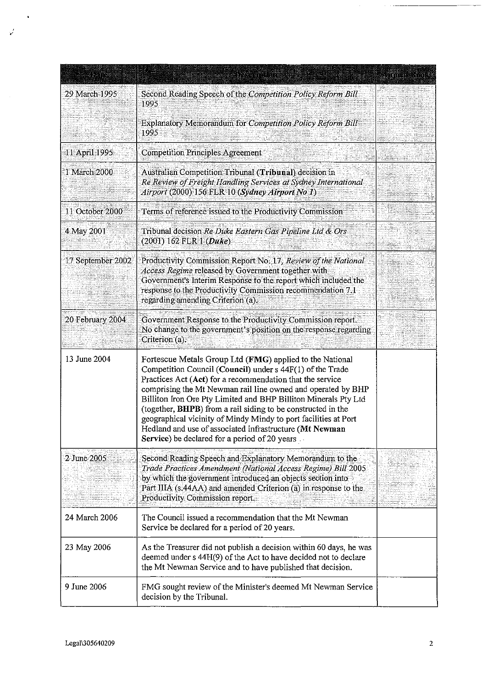|                   |                                                                                                                                                                                                                                                                                                                                                                                                                                                                                                                                                                      | in Shingari |
|-------------------|----------------------------------------------------------------------------------------------------------------------------------------------------------------------------------------------------------------------------------------------------------------------------------------------------------------------------------------------------------------------------------------------------------------------------------------------------------------------------------------------------------------------------------------------------------------------|-------------|
| 29 March 1995     | Second Reading Speech of the Competition Policy Reform Bill<br>1995                                                                                                                                                                                                                                                                                                                                                                                                                                                                                                  |             |
|                   | Explanatory Memorandum for Competition Policy Reform Bill<br>1995                                                                                                                                                                                                                                                                                                                                                                                                                                                                                                    |             |
| 11 April 1995     | <b>Competition Principles Agreement</b>                                                                                                                                                                                                                                                                                                                                                                                                                                                                                                                              |             |
| 1 March 2000      | Australian Competition Tribunal (Tribunal) decision in<br>Re Review of Freight Handling Services at Sydney International<br>Airport (2000) 156 FLR 10 (Sydney Airport No 1)                                                                                                                                                                                                                                                                                                                                                                                          |             |
| 11 October 2000   | Terms of reference issued to the Productivity Commission                                                                                                                                                                                                                                                                                                                                                                                                                                                                                                             |             |
| 4 May 2001        | Tribunal decision <i>Re Duke Eastern Gas Pipeline Ltd &amp; Ors</i><br>$(2001)$ 162 FLR 1 $(Duke)$                                                                                                                                                                                                                                                                                                                                                                                                                                                                   |             |
| 17 September 2002 | Productivity Commission Report No. 17, Review of the National<br>Access Regime released by Government together with<br>Government's Interim Response to the report which included the<br>response to the Productivity Commission recommendation 7.1<br>regarding amending Criterion (a).                                                                                                                                                                                                                                                                             |             |
| 20 February 2004  | Government Response to the Productivity Commission report.<br>No change to the government's position on the response regarding<br>Criterion (a).                                                                                                                                                                                                                                                                                                                                                                                                                     |             |
| 13 June 2004      | Fortescue Metals Group Ltd (FMG) applied to the National<br>Competition Council (Council) under s 44F(1) of the Trade<br>Practices Act (Act) for a recommendation that the service<br>comprising the Mt Newman rail line owned and operated by BHP<br>Billiton Iron Ore Pty Limited and BHP Billiton Minerals Pty Ltd<br>(together, BHPB) from a rail siding to be constructed in the<br>geographical vicinity of Mindy Mindy to port facilities at Port<br>Hedland and use of associated infrastructure (Mt Newman<br>Service) be declared for a period of 20 years |             |
| 2 June 2005       | Second Reading Speech and Explanatory Memorandum to the<br>Trade Practices Amendment (National Access Regime) Bill 2005<br>by which the government introduced an objects section into<br>Part IIIA (s.44AA) and amended Criterion (a) in response to the<br>Productivity Commission report.                                                                                                                                                                                                                                                                          |             |
| 24 March 2006     | The Council issued a recommendation that the Mt Newman<br>Service be declared for a period of 20 years.                                                                                                                                                                                                                                                                                                                                                                                                                                                              |             |
| 23 May 2006       | As the Treasurer did not publish a decision within 60 days, he was<br>deemed under s 44H(9) of the Act to have decided not to declare<br>the Mt Newman Service and to have published that decision.                                                                                                                                                                                                                                                                                                                                                                  |             |
| 9 June 2006       | FMG sought review of the Minister's deemed Mt Newman Service<br>decision by the Tribunal.                                                                                                                                                                                                                                                                                                                                                                                                                                                                            |             |

 $\mathbf{v}'$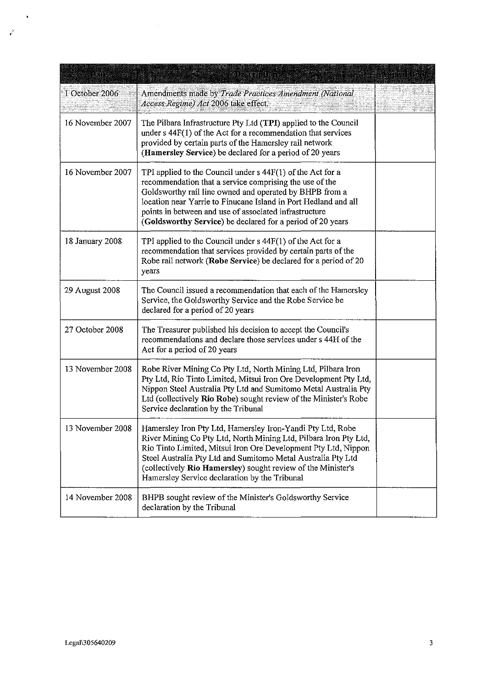| 8238             | <b>LANSION BILL</b>                                                                                                                                                                                                                                                                                                                                                               | urina klosti |
|------------------|-----------------------------------------------------------------------------------------------------------------------------------------------------------------------------------------------------------------------------------------------------------------------------------------------------------------------------------------------------------------------------------|--------------|
| 1 October 2006   | Amendments made by Trade Practices Amendment (National<br>Access Regime) Act 2006 take effect.                                                                                                                                                                                                                                                                                    |              |
| 16 November 2007 | The Pilbara Infrastructure Pty Ltd (TPI) applied to the Council<br>under $s$ 44 $F(1)$ of the Act for a recommendation that services<br>provided by certain parts of the Hamersley rail network<br>(Hamersley Service) be declared for a period of 20 years                                                                                                                       |              |
| 16 November 2007 | TPI applied to the Council under $s$ 44 $F(1)$ of the Act for a<br>recommendation that a service comprising the use of the<br>Goldsworthy rail line owned and operated by BHPB from a<br>location near Yarrie to Finucane Island in Port Hedland and all<br>points in between and use of associated infrastructure<br>(Goldsworthy Service) be declared for a period of 20 years  |              |
| 18 January 2008  | TPI applied to the Council under $s$ 44 $F(1)$ of the Act for a<br>recommendation that services provided by certain parts of the<br>Robe rail network (Robe Service) be declared for a period of 20<br>years                                                                                                                                                                      |              |
| 29 August 2008   | The Council issued a recommendation that each of the Hamersley<br>Service, the Goldsworthy Service and the Robe Service be<br>declared for a period of 20 years                                                                                                                                                                                                                   |              |
| 27 October 2008  | The Treasurer published his decision to accept the Council's<br>recommendations and declare those services under s 44H of the<br>Act for a period of 20 years                                                                                                                                                                                                                     |              |
| 13 November 2008 | Robe River Mining Co Pty Ltd, North Mining Ltd, Pilbara Iron<br>Pty Ltd, Rio Tinto Limited, Mitsui Iron Ore Development Pty Ltd,<br>Nippon Steel Australia Pty Ltd and Sumitomo Metal Australia Pty<br>Ltd (collectively Rio Robe) sought review of the Minister's Robe<br>Service declaration by the Tribunal                                                                    |              |
| 13 November 2008 | Hamersley Iron Pty Ltd, Hamersley Iron-Yandi Pty Ltd, Robe<br>River Mining Co Pty Ltd, North Mining Ltd, Pilbara Iron Pty Ltd,<br>Rio Tinto Limited, Mitsui Iron Ore Development Pty Ltd, Nippon<br>Steel Australia Pty Ltd and Sumitomo Metal Australia Pty Ltd<br>(collectively Rio Hamersley) sought review of the Minister's<br>Hamersley Service declaration by the Tribunal |              |
| 14 November 2008 | BHPB sought review of the Minister's Goldsworthy Service<br>declaration by the Tribunal                                                                                                                                                                                                                                                                                           |              |

 $\ddot{\phantom{1}}$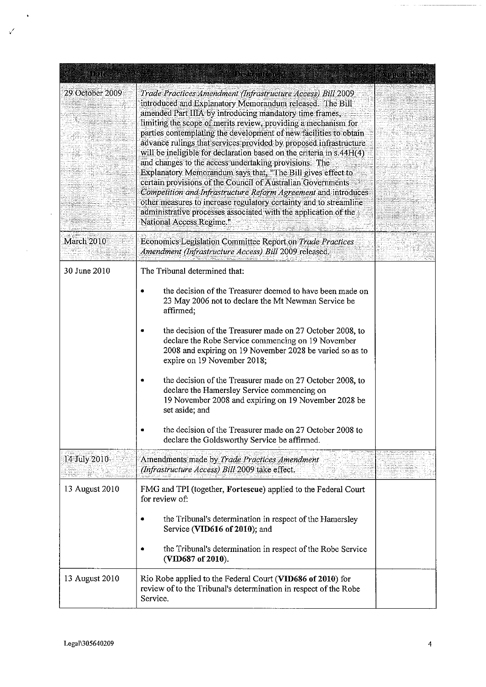| BRID            | <u>ACSERTING</u>                                                                                                                                                                                                                                                                                                                                                                                                                                                                                                                                                                                                                                                                                                                                                                                                                                                                                    |  |
|-----------------|-----------------------------------------------------------------------------------------------------------------------------------------------------------------------------------------------------------------------------------------------------------------------------------------------------------------------------------------------------------------------------------------------------------------------------------------------------------------------------------------------------------------------------------------------------------------------------------------------------------------------------------------------------------------------------------------------------------------------------------------------------------------------------------------------------------------------------------------------------------------------------------------------------|--|
| 29 October 2009 | Trade Practices Amendment (Infrastructure Access) Bill 2009<br>introduced and Explanatory Memorandum released. The Bill<br>amended Part IIIA by introducing mandatory time frames,<br>limiting the scope of merits review, providing a mechanism for<br>parties contemplating the development of new facilities to obtain<br>advance rulings that services provided by proposed infrastructure<br>will be ineligible for declaration based on the criteria in s.44H(4)<br>and changes to the access undertaking provisions. The<br>Explanatory Memorandum says that, "The Bill gives effect to<br>certain provisions of the Council of Australian Governments<br>Competition and Infrastructure Reform Agreement and introduces<br>other measures to increase regulatory certainty and to streamline<br>administrative processes associated with the application of the<br>National Access Regime." |  |
| March 2010      | Economics Legislation Committee Report on Trade Practices<br>Amendment (Infrastructure Access) Bill 2009 released.                                                                                                                                                                                                                                                                                                                                                                                                                                                                                                                                                                                                                                                                                                                                                                                  |  |
| 30 June 2010    | The Tribunal determined that:                                                                                                                                                                                                                                                                                                                                                                                                                                                                                                                                                                                                                                                                                                                                                                                                                                                                       |  |
|                 | the decision of the Treasurer deemed to have been made on<br>23 May 2006 not to declare the Mt Newman Service be<br>affirmed;                                                                                                                                                                                                                                                                                                                                                                                                                                                                                                                                                                                                                                                                                                                                                                       |  |
|                 | the decision of the Treasurer made on 27 October 2008, to<br>declare the Robe Service commencing on 19 November<br>2008 and expiring on 19 November 2028 be varied so as to<br>expire on 19 November 2018;                                                                                                                                                                                                                                                                                                                                                                                                                                                                                                                                                                                                                                                                                          |  |
|                 | the decision of the Treasurer made on 27 October 2008, to<br>declare the Hamersley Service commencing on<br>19 November 2008 and expiring on 19 November 2028 be<br>set aside; and                                                                                                                                                                                                                                                                                                                                                                                                                                                                                                                                                                                                                                                                                                                  |  |
|                 | the decision of the Treasurer made on 27 October 2008 to<br>declare the Goldsworthy Service be affirmed.                                                                                                                                                                                                                                                                                                                                                                                                                                                                                                                                                                                                                                                                                                                                                                                            |  |
| 14 July 2010    | Amendments made by Trade Practices Amendment<br>(Infrastructure Access) Bill 2009 take effect.                                                                                                                                                                                                                                                                                                                                                                                                                                                                                                                                                                                                                                                                                                                                                                                                      |  |
| 13 August 2010  | FMG and TPI (together, Fortescue) applied to the Federal Court<br>for review of:                                                                                                                                                                                                                                                                                                                                                                                                                                                                                                                                                                                                                                                                                                                                                                                                                    |  |
|                 | the Tribunal's determination in respect of the Hamersley<br>Service (VID616 of 2010); and                                                                                                                                                                                                                                                                                                                                                                                                                                                                                                                                                                                                                                                                                                                                                                                                           |  |
|                 | the Tribunal's determination in respect of the Robe Service<br>(VID687 of 2010).                                                                                                                                                                                                                                                                                                                                                                                                                                                                                                                                                                                                                                                                                                                                                                                                                    |  |
| 13 August 2010  | Rio Robe applied to the Federal Court (VID686 of 2010) for<br>review of to the Tribunal's determination in respect of the Robe<br>Service.                                                                                                                                                                                                                                                                                                                                                                                                                                                                                                                                                                                                                                                                                                                                                          |  |

 $\ddot{\phantom{1}}$ 

 $\mathcal{A}^{\mathcal{A}}$ 

 $\bar{\mathcal{A}}$ 

 $\mathcal{L}$ 

a mala sa ma<del>lawan</del>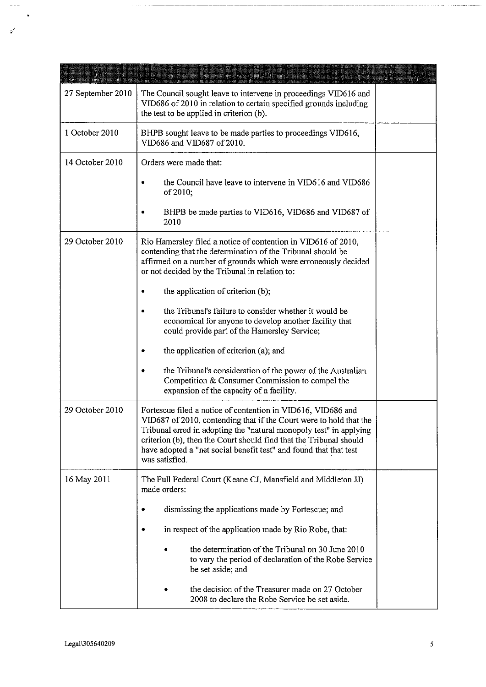| <u>iyaa</u>       | <u> Presidenti p</u>                                                                                                                                                                                                                                                                                                                                                  | <u>i li natalitan n</u> |
|-------------------|-----------------------------------------------------------------------------------------------------------------------------------------------------------------------------------------------------------------------------------------------------------------------------------------------------------------------------------------------------------------------|-------------------------|
| 27 September 2010 | The Council sought leave to intervene in proceedings VID616 and<br>VID686 of 2010 in relation to certain specified grounds including<br>the test to be applied in criterion (b).                                                                                                                                                                                      |                         |
| 1 October 2010    | BHPB sought leave to be made parties to proceedings VID616,<br>VID686 and VID687 of 2010.                                                                                                                                                                                                                                                                             |                         |
| 14 October 2010   | Orders were made that:                                                                                                                                                                                                                                                                                                                                                |                         |
|                   | the Council have leave to intervene in VID616 and VID686<br>of 2010;                                                                                                                                                                                                                                                                                                  |                         |
|                   | BHPB be made parties to VID616, VID686 and VID687 of<br>2010                                                                                                                                                                                                                                                                                                          |                         |
| 29 October 2010   | Rio Hamersley filed a notice of contention in VID616 of 2010,<br>contending that the determination of the Tribunal should be<br>affirmed on a number of grounds which were erroneously decided<br>or not decided by the Tribunal in relation to:                                                                                                                      |                         |
|                   | the application of criterion (b);                                                                                                                                                                                                                                                                                                                                     |                         |
|                   | the Tribunal's failure to consider whether it would be<br>economical for anyone to develop another facility that<br>could provide part of the Hamersley Service;                                                                                                                                                                                                      |                         |
|                   | the application of criterion (a); and                                                                                                                                                                                                                                                                                                                                 |                         |
|                   | the Tribunal's consideration of the power of the Australian<br>Competition & Consumer Commission to compel the<br>expansion of the capacity of a facility.                                                                                                                                                                                                            |                         |
| 29 October 2010   | Fortescue filed a notice of contention in VID616, VID686 and<br>VID687 of 2010, contending that if the Court were to hold that the<br>Tribunal erred in adopting the "natural monopoly test" in applying<br>criterion (b), then the Court should find that the Tribunal should<br>have adopted a "net social benefit test" and found that that test<br>was satisfied. |                         |
| 16 May 2011       | The Full Federal Court (Keane CJ, Mansfield and Middleton JJ)<br>made orders:                                                                                                                                                                                                                                                                                         |                         |
|                   | dismissing the applications made by Fortescue; and                                                                                                                                                                                                                                                                                                                    |                         |
|                   | in respect of the application made by Rio Robe, that:                                                                                                                                                                                                                                                                                                                 |                         |
|                   | the determination of the Tribunal on 30 June 2010<br>to vary the period of declaration of the Robe Service<br>be set aside; and                                                                                                                                                                                                                                       |                         |
|                   | the decision of the Treasurer made on 27 October<br>2008 to declare the Robe Service be set aside.                                                                                                                                                                                                                                                                    |                         |

.

 $\frac{1}{2}$  and  $\frac{1}{2}$ 

 $\bullet$